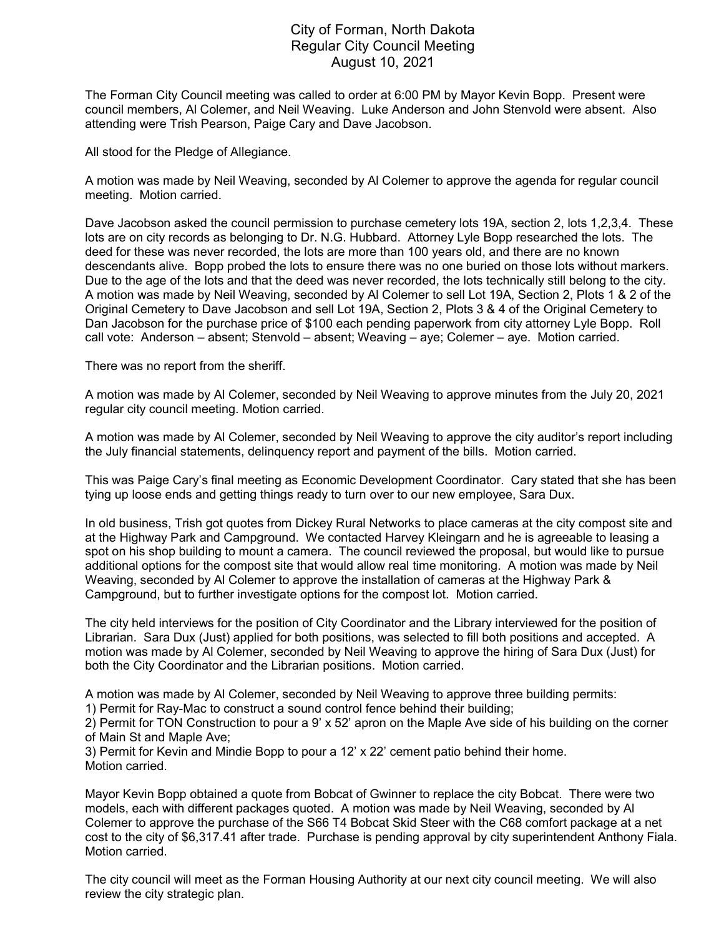## City of Forman, North Dakota Regular City Council Meeting August 10, 2021

The Forman City Council meeting was called to order at 6:00 PM by Mayor Kevin Bopp. Present were council members, Al Colemer, and Neil Weaving. Luke Anderson and John Stenvold were absent. Also attending were Trish Pearson, Paige Cary and Dave Jacobson.

All stood for the Pledge of Allegiance.

A motion was made by Neil Weaving, seconded by Al Colemer to approve the agenda for regular council meeting. Motion carried.

Dave Jacobson asked the council permission to purchase cemetery lots 19A, section 2, lots 1,2,3,4. These lots are on city records as belonging to Dr. N.G. Hubbard. Attorney Lyle Bopp researched the lots. The deed for these was never recorded, the lots are more than 100 years old, and there are no known descendants alive. Bopp probed the lots to ensure there was no one buried on those lots without markers. Due to the age of the lots and that the deed was never recorded, the lots technically still belong to the city. A motion was made by Neil Weaving, seconded by Al Colemer to sell Lot 19A, Section 2, Plots 1 & 2 of the Original Cemetery to Dave Jacobson and sell Lot 19A, Section 2, Plots 3 & 4 of the Original Cemetery to Dan Jacobson for the purchase price of \$100 each pending paperwork from city attorney Lyle Bopp. Roll call vote: Anderson – absent; Stenvold – absent; Weaving – aye; Colemer – aye. Motion carried.

There was no report from the sheriff.

A motion was made by Al Colemer, seconded by Neil Weaving to approve minutes from the July 20, 2021 regular city council meeting. Motion carried.

A motion was made by Al Colemer, seconded by Neil Weaving to approve the city auditor's report including the July financial statements, delinquency report and payment of the bills. Motion carried.

This was Paige Cary's final meeting as Economic Development Coordinator. Cary stated that she has been tying up loose ends and getting things ready to turn over to our new employee, Sara Dux.

In old business, Trish got quotes from Dickey Rural Networks to place cameras at the city compost site and at the Highway Park and Campground. We contacted Harvey Kleingarn and he is agreeable to leasing a spot on his shop building to mount a camera. The council reviewed the proposal, but would like to pursue additional options for the compost site that would allow real time monitoring. A motion was made by Neil Weaving, seconded by Al Colemer to approve the installation of cameras at the Highway Park & Campground, but to further investigate options for the compost lot. Motion carried.

The city held interviews for the position of City Coordinator and the Library interviewed for the position of Librarian. Sara Dux (Just) applied for both positions, was selected to fill both positions and accepted. A motion was made by Al Colemer, seconded by Neil Weaving to approve the hiring of Sara Dux (Just) for both the City Coordinator and the Librarian positions. Motion carried.

A motion was made by Al Colemer, seconded by Neil Weaving to approve three building permits:

1) Permit for Ray-Mac to construct a sound control fence behind their building;

2) Permit for TON Construction to pour a 9' x 52' apron on the Maple Ave side of his building on the corner of Main St and Maple Ave;

3) Permit for Kevin and Mindie Bopp to pour a 12' x 22' cement patio behind their home. Motion carried.

Mayor Kevin Bopp obtained a quote from Bobcat of Gwinner to replace the city Bobcat. There were two models, each with different packages quoted. A motion was made by Neil Weaving, seconded by Al Colemer to approve the purchase of the S66 T4 Bobcat Skid Steer with the C68 comfort package at a net cost to the city of \$6,317.41 after trade. Purchase is pending approval by city superintendent Anthony Fiala. Motion carried.

The city council will meet as the Forman Housing Authority at our next city council meeting. We will also review the city strategic plan.